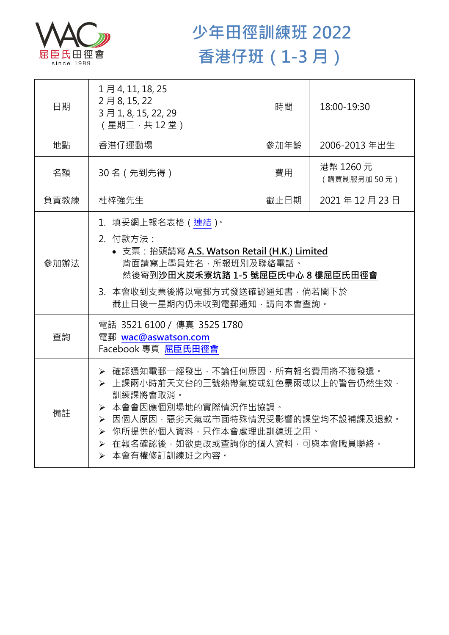

## **少年田徑訓練班 2022 香港仔班(1-3 月)**

| 日期   | 1月4, 11, 18, 25<br>2月8,15,22<br>3月1, 8, 15, 22, 29<br>(星期二,共12堂)                                                                                                                                                                      | 時間   | 18:00-19:30              |  |
|------|---------------------------------------------------------------------------------------------------------------------------------------------------------------------------------------------------------------------------------------|------|--------------------------|--|
| 地點   | 香港仔運動場                                                                                                                                                                                                                                | 參加年齡 | 2006-2013 年出生            |  |
| 名額   | 30名 (先到先得)                                                                                                                                                                                                                            | 費用   | 港幣 1260 元<br>(購買制服另加50元) |  |
| 負責教練 | 杜梓強先生                                                                                                                                                                                                                                 | 截止日期 | 2021年12月23日              |  |
| 參加辦法 | 1.填妥網上報名表格(連結) <sup>。</sup><br>2. 付款方法:<br>• 支票: 抬頭請寫 A.S. Watson Retail (H.K.) Limited<br>背面請寫上學員姓名,所報班別及聯絡電話。<br>然後寄到沙田火炭禾寮坑路 1-5 號屈臣氏中心 8 樓屈臣氏田徑會<br>3. 本會收到支票後將以電郵方式發送確認通知書,倘若閣下於<br>截止日後一星期內仍未收到電郵通知,請向本會查詢。                     |      |                          |  |
| 查詢   | 電話 3521 6100 / 傳真 3525 1780<br>電郵 wac@aswatson.com<br>Facebook 專頁 屈臣氏田徑會                                                                                                                                                              |      |                          |  |
| 備註   | ▶ 確認通知電郵一經發出,不論任何原因,所有報名費用將不獲發還。<br>▶ 上課兩小時前天文台的三號熱帶氣旋或紅色暴雨或以上的警告仍然生效,<br>訓練課將會取消。<br>▶ 本會會因應個別場地的實際情況作出協調。<br>▶ 因個人原因,惡劣天氣或市面特殊情況受影響的課堂均不設補課及退款。<br>▶ 你所提供的個人資料,只作本會處理此訓練班之用。<br>> 在報名確認後,如欲更改或查詢你的個人資料,可與本會職員聯絡。<br>> 本會有權修訂訓練班之內容。 |      |                          |  |